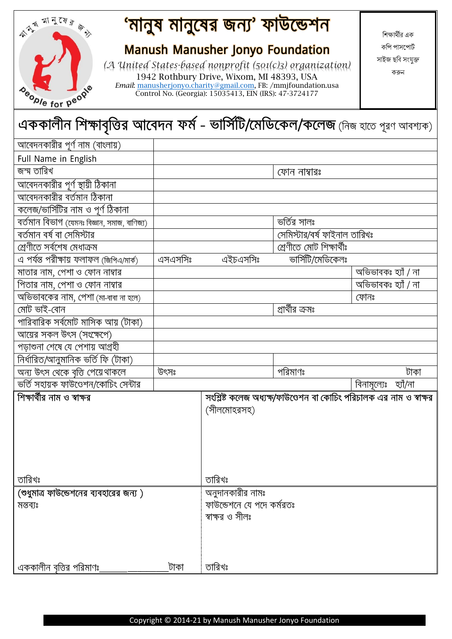| beople for people                                                               |         | <b>Manush Manusher Jonyo Foundation</b><br>1942 Rothbury Drive, Wixom, MI 48393, USA<br>Email: manusherjonyo.charity@gmail.com, FB: /mmjfoundation.usa<br>Control No. (Georgia): 15035413, EIN (IRS): 47-3724177 | (A United States-based nonprofit (501(c)3) organization)            | কপি পাসপোর্ট<br>সাইজ ছবি সংযুক্ত<br>করুন |
|---------------------------------------------------------------------------------|---------|------------------------------------------------------------------------------------------------------------------------------------------------------------------------------------------------------------------|---------------------------------------------------------------------|------------------------------------------|
| এককালীন শিক্ষাবৃত্তির আবেদন ফর্ম - ভার্সিটি/মেডিকেল/কলেজ (নিজ হাতে পূরণ আবশ্যক) |         |                                                                                                                                                                                                                  |                                                                     |                                          |
| আবেদনকারীর পূর্ণ নাম (বাংলায়)                                                  |         |                                                                                                                                                                                                                  |                                                                     |                                          |
| Full Name in English                                                            |         |                                                                                                                                                                                                                  |                                                                     |                                          |
| জন্ম তারিখ                                                                      |         |                                                                                                                                                                                                                  | ফোন নাম্বারঃ                                                        |                                          |
| আবেদনকারীর পূর্ণ স্থায়ী ঠিকানা                                                 |         |                                                                                                                                                                                                                  |                                                                     |                                          |
| $\overline{\phantom{a}}$ আবেদনকারীর বর্তমান ঠিকানা                              |         |                                                                                                                                                                                                                  |                                                                     |                                          |
| কলেজ/ভার্সিটির নাম ও পূর্ণ ঠিকানা                                               |         |                                                                                                                                                                                                                  |                                                                     |                                          |
| বৰ্তমান বিভাগ (যেমনঃ বিজ্ঞান, সমাজ, বাণিজ্য)                                    |         |                                                                                                                                                                                                                  | ভৰ্তির সালঃ                                                         |                                          |
| বৰ্তমান বৰ্ষ বা সেমিস্টার                                                       |         |                                                                                                                                                                                                                  | সেমিস্টার/বর্ষ ফাইনাল তারিখঃ                                        |                                          |
| শ্ৰেণীতে সৰ্বশেষ মেধাক্ৰম                                                       |         |                                                                                                                                                                                                                  | শ্ৰেণীতে মোট শিক্ষাৰ্থীঃ                                            |                                          |
| এ পৰ্যন্ত পরীক্ষায় ফলাফল (জিপিএ/মার্ক)                                         | এসএসসিঃ | এইচএসসিঃ                                                                                                                                                                                                         | ভার্সিটি/মেডিকেলঃ                                                   |                                          |
| মাতার নাম, পেশা ও ফোন নাম্বার                                                   |         |                                                                                                                                                                                                                  |                                                                     | অভিভাবকঃ হ্যাঁ / না                      |
| পিতার নাম, পেশা ও ফোন নাম্বার                                                   |         |                                                                                                                                                                                                                  |                                                                     | অভিভাবকঃ হ্যাঁ / না                      |
| অভিভাবকের নাম, পেশা (মা-বাবা না হলে)                                            |         |                                                                                                                                                                                                                  |                                                                     | ফোনঃ                                     |
| মোট ভাই-বোন                                                                     |         |                                                                                                                                                                                                                  | প্রার্থীর ক্রমঃ                                                     |                                          |
| পারিবারিক সর্বমোট মাসিক আয় (টাকা)                                              |         |                                                                                                                                                                                                                  |                                                                     |                                          |
| আয়ের সকল উৎস (সংক্ষেপে)                                                        |         |                                                                                                                                                                                                                  |                                                                     |                                          |
| পড়াশুনা শেষে যে পেশায় আগ্রহী                                                  |         |                                                                                                                                                                                                                  |                                                                     |                                          |
| নিৰ্ধারিত/আনুমানিক ভৰ্তি ফি (টাকা)                                              |         |                                                                                                                                                                                                                  |                                                                     |                                          |
| অন্য উৎস থেকে বৃত্তি পেয়ে থাকলে                                                | উৎসঃ    |                                                                                                                                                                                                                  | পরিমাণঃ                                                             | টাকা                                     |
| ভর্তি সহায়ক ফাউণ্ডেশন/কোচিং সেন্টার                                            |         |                                                                                                                                                                                                                  |                                                                     | বিনামূল্যেঃ হ্যাঁ/না                     |
| শিক্ষার্থীর নাম ও স্বাক্ষর                                                      |         | (সীলমোহরসহ)                                                                                                                                                                                                      | সংশ্লিষ্ট কলেজ অধ্যক্ষ/ফাউণ্ডেশন বা কোচিং পরিচালক এর নাম ও স্বাক্ষর |                                          |
| তারিখঃ                                                                          |         | তারিখঃ                                                                                                                                                                                                           |                                                                     |                                          |
| (শুধুমাত্র ফাউন্ডেশনের ব্যবহারের জন্য)<br>মন্তব্যঃ                              |         | অনুদানকারীর নামঃ<br>ফাউন্ডেশনে যে পদে কর্মরতঃ<br>স্বাক্ষর ও সীলঃ                                                                                                                                                 |                                                                     |                                          |

<mark>'মানুষ মানুষের জন্য' ফাউন্ডেশন</mark>

本文 刘子(对方今)

<mark>এককালীন বৃত্তির পরিমাণ</mark>ঃ

শিক্ষার্থীর এক কপি পাসপোর্ট সাইজ ছশি সংযুক্ত করুন

তারিখঃ

\_টাকা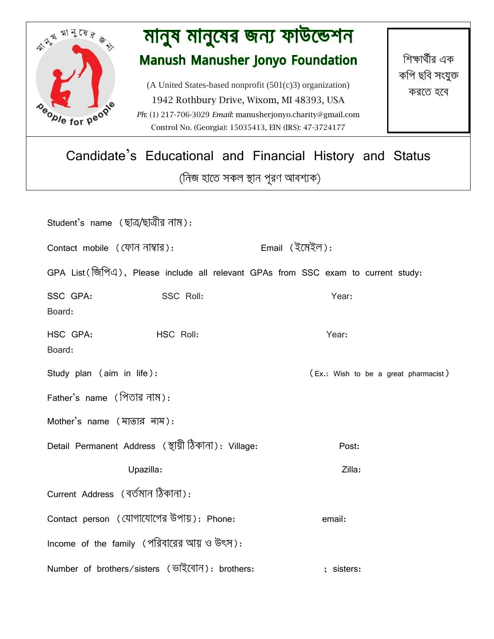